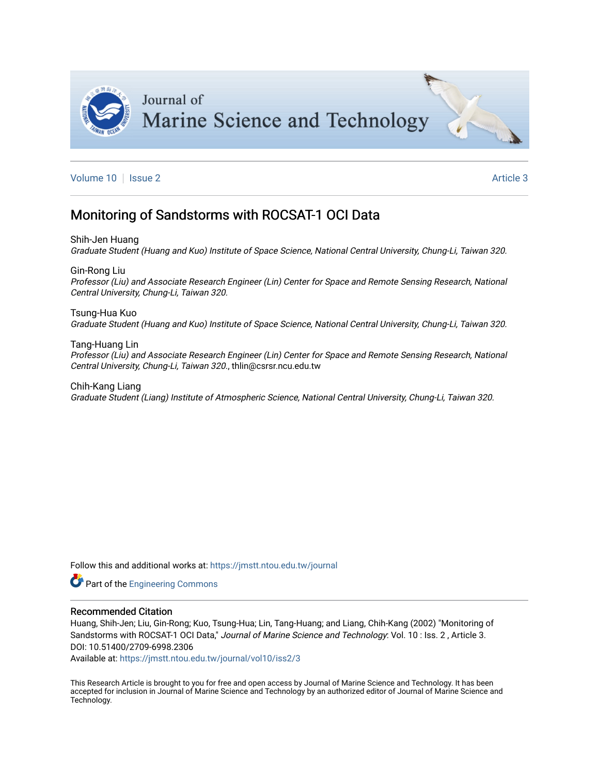

[Volume 10](https://jmstt.ntou.edu.tw/journal/vol10) | [Issue 2](https://jmstt.ntou.edu.tw/journal/vol10/iss2) Article 3

## Monitoring of Sandstorms with ROCSAT-1 OCI Data

Shih-Jen Huang Graduate Student (Huang and Kuo) Institute of Space Science, National Central University, Chung-Li, Taiwan 320.

Gin-Rong Liu Professor (Liu) and Associate Research Engineer (Lin) Center for Space and Remote Sensing Research, National Central University, Chung-Li, Taiwan 320.

Tsung-Hua Kuo Graduate Student (Huang and Kuo) Institute of Space Science, National Central University, Chung-Li, Taiwan 320.

Tang-Huang Lin Professor (Liu) and Associate Research Engineer (Lin) Center for Space and Remote Sensing Research, National Central University, Chung-Li, Taiwan 320., thlin@csrsr.ncu.edu.tw

Chih-Kang Liang Graduate Student (Liang) Institute of Atmospheric Science, National Central University, Chung-Li, Taiwan 320.

Follow this and additional works at: [https://jmstt.ntou.edu.tw/journal](https://jmstt.ntou.edu.tw/journal?utm_source=jmstt.ntou.edu.tw%2Fjournal%2Fvol10%2Fiss2%2F3&utm_medium=PDF&utm_campaign=PDFCoverPages)

**Part of the Engineering Commons** 

#### Recommended Citation

Huang, Shih-Jen; Liu, Gin-Rong; Kuo, Tsung-Hua; Lin, Tang-Huang; and Liang, Chih-Kang (2002) "Monitoring of Sandstorms with ROCSAT-1 OCI Data," Journal of Marine Science and Technology: Vol. 10 : Iss. 2 , Article 3. DOI: 10.51400/2709-6998.2306

Available at: [https://jmstt.ntou.edu.tw/journal/vol10/iss2/3](https://jmstt.ntou.edu.tw/journal/vol10/iss2/3?utm_source=jmstt.ntou.edu.tw%2Fjournal%2Fvol10%2Fiss2%2F3&utm_medium=PDF&utm_campaign=PDFCoverPages)

This Research Article is brought to you for free and open access by Journal of Marine Science and Technology. It has been accepted for inclusion in Journal of Marine Science and Technology by an authorized editor of Journal of Marine Science and Technology.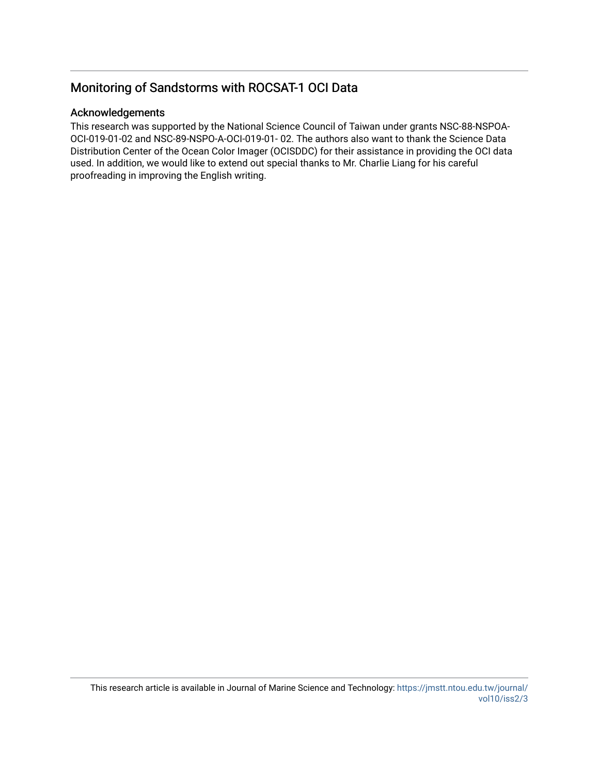## Monitoring of Sandstorms with ROCSAT-1 OCI Data

### Acknowledgements

This research was supported by the National Science Council of Taiwan under grants NSC-88-NSPOA-OCI-019-01-02 and NSC-89-NSPO-A-OCI-019-01- 02. The authors also want to thank the Science Data Distribution Center of the Ocean Color Imager (OCISDDC) for their assistance in providing the OCI data used. In addition, we would like to extend out special thanks to Mr. Charlie Liang for his careful proofreading in improving the English writing.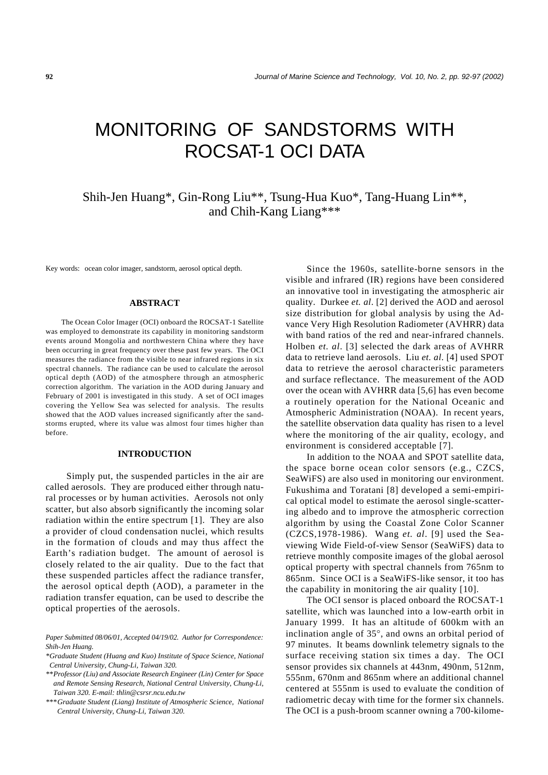# MONITORING OF SANDSTORMS WITH ROCSAT-1 OCI DATA

## Shih-Jen Huang\*, Gin-Rong Liu\*\*, Tsung-Hua Kuo\*, Tang-Huang Lin\*\*, and Chih-Kang Liang\*\*\*

Key words: ocean color imager, sandstorm, aerosol optical depth.

#### **ABSTRACT**

The Ocean Color Imager (OCI) onboard the ROCSAT-1 Satellite was employed to demonstrate its capability in monitoring sandstorm events around Mongolia and northwestern China where they have been occurring in great frequency over these past few years. The OCI measures the radiance from the visible to near infrared regions in six spectral channels. The radiance can be used to calculate the aerosol optical depth (AOD) of the atmosphere through an atmospheric correction algorithm. The variation in the AOD during January and February of 2001 is investigated in this study. A set of OCI images covering the Yellow Sea was selected for analysis. The results showed that the AOD values increased significantly after the sandstorms erupted, where its value was almost four times higher than before.

#### **INTRODUCTION**

Simply put, the suspended particles in the air are called aerosols. They are produced either through natural processes or by human activities. Aerosols not only scatter, but also absorb significantly the incoming solar radiation within the entire spectrum [1]. They are also a provider of cloud condensation nuclei, which results in the formation of clouds and may thus affect the Earth's radiation budget. The amount of aerosol is closely related to the air quality. Due to the fact that these suspended particles affect the radiance transfer, the aerosol optical depth (AOD), a parameter in the radiation transfer equation, can be used to describe the optical properties of the aerosols.

Since the 1960s, satellite-borne sensors in the visible and infrared (IR) regions have been considered an innovative tool in investigating the atmospheric air quality. Durkee *et. al*. [2] derived the AOD and aerosol size distribution for global analysis by using the Advance Very High Resolution Radiometer (AVHRR) data with band ratios of the red and near-infrared channels. Holben *et. al*. [3] selected the dark areas of AVHRR data to retrieve land aerosols. Liu *et. al*. [4] used SPOT data to retrieve the aerosol characteristic parameters and surface reflectance. The measurement of the AOD over the ocean with AVHRR data [5,6] has even become a routinely operation for the National Oceanic and Atmospheric Administration (NOAA). In recent years, the satellite observation data quality has risen to a level where the monitoring of the air quality, ecology, and environment is considered acceptable [7].

In addition to the NOAA and SPOT satellite data, the space borne ocean color sensors (e.g., CZCS, SeaWiFS) are also used in monitoring our environment. Fukushima and Toratani [8] developed a semi-empirical optical model to estimate the aerosol single-scattering albedo and to improve the atmospheric correction algorithm by using the Coastal Zone Color Scanner (CZCS,1978-1986). Wang *et. al*. [9] used the Seaviewing Wide Field-of-view Sensor (SeaWiFS) data to retrieve monthly composite images of the global aerosol optical property with spectral channels from 765nm to 865nm. Since OCI is a SeaWiFS-like sensor, it too has the capability in monitoring the air quality [10].

The OCI sensor is placed onboard the ROCSAT-1 satellite, which was launched into a low-earth orbit in January 1999. It has an altitude of 600km with an inclination angle of 35°, and owns an orbital period of 97 minutes. It beams downlink telemetry signals to the surface receiving station six times a day. The OCI sensor provides six channels at 443nm, 490nm, 512nm, 555nm, 670nm and 865nm where an additional channel centered at 555nm is used to evaluate the condition of radiometric decay with time for the former six channels. The OCI is a push-broom scanner owning a 700-kilome-

*Paper Submitted 08/06/01, Accepted 04/19/02. Author for Correspondence: Shih-Jen Huang.*

*<sup>\*</sup>Graduate Student (Huang and Kuo) Institute of Space Science, National Central University, Chung-Li, Taiwan 320.*

*<sup>\*\*</sup>Professor (Liu) and Associate Research Engineer (Lin) Center for Space and Remote Sensing Research, National Central University, Chung-Li, Taiwan 320. E-mail: thlin@csrsr.ncu.edu.tw*

*<sup>\*\*\*</sup>Graduate Student (Liang) Institute of Atmospheric Science, National Central University, Chung-Li, Taiwan 320.*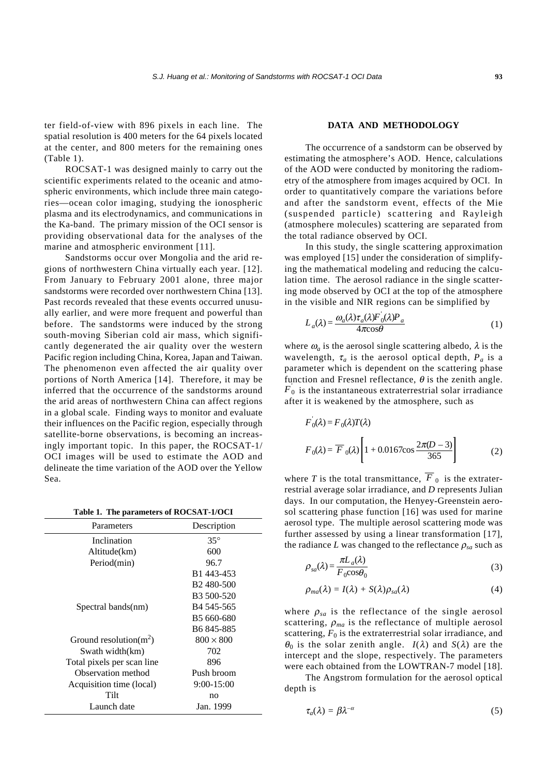ter field-of-view with 896 pixels in each line. The spatial resolution is 400 meters for the 64 pixels located at the center, and 800 meters for the remaining ones (Table 1).

ROCSAT-1 was designed mainly to carry out the scientific experiments related to the oceanic and atmospheric environments, which include three main categories—ocean color imaging, studying the ionospheric plasma and its electrodynamics, and communications in the Ka-band. The primary mission of the OCI sensor is providing observational data for the analyses of the marine and atmospheric environment [11].

Sandstorms occur over Mongolia and the arid regions of northwestern China virtually each year. [12]. From January to February 2001 alone, three major sandstorms were recorded over northwestern China [13]. Past records revealed that these events occurred unusually earlier, and were more frequent and powerful than before. The sandstorms were induced by the strong south-moving Siberian cold air mass, which significantly degenerated the air quality over the western Pacific region including China, Korea, Japan and Taiwan. The phenomenon even affected the air quality over portions of North America [14]. Therefore, it may be inferred that the occurrence of the sandstorms around the arid areas of northwestern China can affect regions in a global scale. Finding ways to monitor and evaluate their influences on the Pacific region, especially through satellite-borne observations, is becoming an increasingly important topic. In this paper, the ROCSAT-1/ OCI images will be used to estimate the AOD and delineate the time variation of the AOD over the Yellow Sea.

**Table 1. The parameters of ROCSAT-1/OCI**

| Parameters                 | Description            |
|----------------------------|------------------------|
| Inclination                | $35^{\circ}$           |
| Altitude(km)               | 600                    |
| Period(min)                | 96.7                   |
|                            | B1 443-453             |
|                            | B <sub>2</sub> 480-500 |
|                            | B <sub>3</sub> 500-520 |
| Spectral bands(nm)         | B <sub>4</sub> 545-565 |
|                            | B5 660-680             |
|                            | B <sub>6</sub> 845-885 |
| Ground resolution( $m2$ )  | $800 \times 800$       |
| Swath width(km)            | 702                    |
| Total pixels per scan line | 896                    |
| Observation method         | Push broom             |
| Acquisition time (local)   | $9:00 - 15:00$         |
| Tilt                       | n <sub>O</sub>         |
| Launch date                | Jan. 1999              |

#### **DATA AND METHODOLOGY**

The occurrence of a sandstorm can be observed by estimating the atmosphere's AOD. Hence, calculations of the AOD were conducted by monitoring the radiometry of the atmosphere from images acquired by OCI. In order to quantitatively compare the variations before and after the sandstorm event, effects of the Mie (suspended particle) scattering and Rayleigh (atmosphere molecules) scattering are separated from the total radiance observed by OCI.

In this study, the single scattering approximation was employed [15] under the consideration of simplifying the mathematical modeling and reducing the calculation time. The aerosol radiance in the single scattering mode observed by OCI at the top of the atmosphere in the visible and NIR regions can be simplified by

$$
L_a(\lambda) = \frac{\omega_a(\lambda)\tau_a(\lambda)F_0(\lambda)P_a}{4\pi\cos\theta} \tag{1}
$$

where  $\omega_a$  is the aerosol single scattering albedo,  $\lambda$  is the wavelength,  $\tau_a$  is the aerosol optical depth,  $P_a$  is a parameter which is dependent on the scattering phase function and Fresnel reflectance,  $\theta$  is the zenith angle.  $F_0$  is the instantaneous extraterrestrial solar irradiance after it is weakened by the atmosphere, such as

$$
F_0(\lambda) = F_0(\lambda)T(\lambda)
$$
  
\n
$$
F_0(\lambda) = \overline{F}_0(\lambda) \left[ 1 + 0.0167 \cos \frac{2\pi(D-3)}{365} \right]
$$
 (2)

where *T* is the total transmittance,  $\overline{F}_0$  is the extraterrestrial average solar irradiance, and *D* represents Julian days. In our computation, the Henyey-Greenstein aerosol scattering phase function [16] was used for marine aerosol type. The multiple aerosol scattering mode was further assessed by using a linear transformation [17], the radiance *L* was changed to the reflectance  $\rho_{sa}$  such as

$$
\rho_{sa}(\lambda) = \frac{\pi L_a(\lambda)}{F_0 \cos \theta_0} \tag{3}
$$

$$
\rho_{ma}(\lambda) = I(\lambda) + S(\lambda)\rho_{sa}(\lambda) \tag{4}
$$

where  $\rho_{sa}$  is the reflectance of the single aerosol scattering,  $\rho_{ma}$  is the reflectance of multiple aerosol scattering,  $F_0$  is the extraterrestrial solar irradiance, and  $\theta_0$  is the solar zenith angle.  $I(\lambda)$  and  $S(\lambda)$  are the intercept and the slope, respectively. The parameters were each obtained from the LOWTRAN-7 model [18].

The Angstrom formulation for the aerosol optical depth is

$$
\tau_a(\lambda) = \beta \lambda^{-\alpha} \tag{5}
$$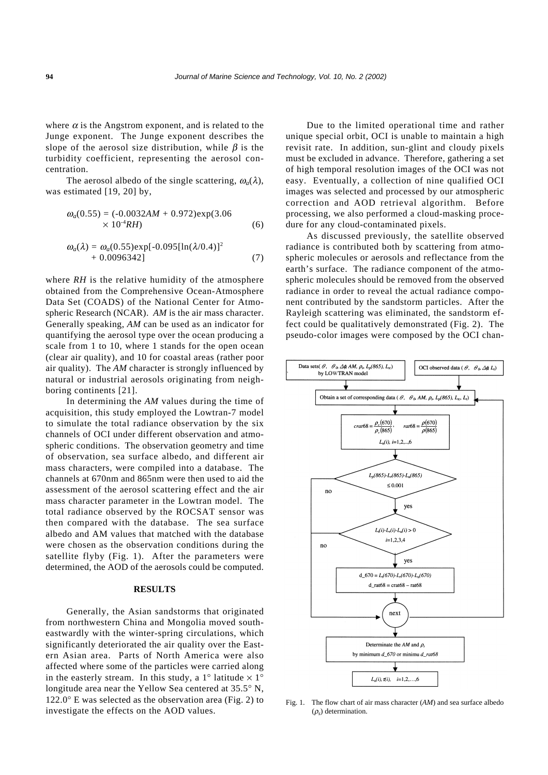where  $\alpha$  is the Angstrom exponent, and is related to the Junge exponent. The Junge exponent describes the slope of the aerosol size distribution, while  $\beta$  is the turbidity coefficient, representing the aerosol concentration.

The aerosol albedo of the single scattering,  $\omega_a(\lambda)$ , was estimated [19, 20] by,

$$
\omega_a(0.55) = (-0.0032AM + 0.972) \exp(3.06
$$
  
× 10<sup>-4</sup>*RH*) (6)

$$
\omega_a(\lambda) = \omega_a(0.55) \exp[-0.095[\ln(\lambda/0.4)]^2 + 0.0096342]
$$
 (7)

where *RH* is the relative humidity of the atmosphere obtained from the Comprehensive Ocean-Atmosphere Data Set (COADS) of the National Center for Atmospheric Research (NCAR). *AM* is the air mass character. Generally speaking, *AM* can be used as an indicator for quantifying the aerosol type over the ocean producing a scale from 1 to 10, where 1 stands for the open ocean (clear air quality), and 10 for coastal areas (rather poor air quality). The *AM* character is strongly influenced by natural or industrial aerosols originating from neighboring continents [21].

In determining the *AM* values during the time of acquisition, this study employed the Lowtran-7 model to simulate the total radiance observation by the six channels of OCI under different observation and atmospheric conditions. The observation geometry and time of observation, sea surface albedo, and different air mass characters, were compiled into a database. The channels at 670nm and 865nm were then used to aid the assessment of the aerosol scattering effect and the air mass character parameter in the Lowtran model. The total radiance observed by the ROCSAT sensor was then compared with the database. The sea surface albedo and AM values that matched with the database were chosen as the observation conditions during the satellite flyby (Fig. 1). After the parameters were determined, the AOD of the aerosols could be computed.

#### **RESULTS**

Generally, the Asian sandstorms that originated from northwestern China and Mongolia moved southeastwardly with the winter-spring circulations, which significantly deteriorated the air quality over the Eastern Asian area. Parts of North America were also affected where some of the particles were carried along in the easterly stream. In this study, a 1° latitude  $\times$  1° longitude area near the Yellow Sea centered at 35.5° N,  $122.0^\circ$  E was selected as the observation area (Fig. 2) to investigate the effects on the AOD values.

Due to the limited operational time and rather unique special orbit, OCI is unable to maintain a high revisit rate. In addition, sun-glint and cloudy pixels must be excluded in advance. Therefore, gathering a set of high temporal resolution images of the OCI was not easy. Eventually, a collection of nine qualified OCI images was selected and processed by our atmospheric correction and AOD retrieval algorithm. Before processing, we also performed a cloud-masking procedure for any cloud-contaminated pixels.

As discussed previously, the satellite observed radiance is contributed both by scattering from atmospheric molecules or aerosols and reflectance from the earth's surface. The radiance component of the atmospheric molecules should be removed from the observed radiance in order to reveal the actual radiance component contributed by the sandstorm particles. After the Rayleigh scattering was eliminated, the sandstorm effect could be qualitatively demonstrated (Fig. 2). The pseudo-color images were composed by the OCI chan-



Fig. 1. The flow chart of air mass character (*AM*) and sea surface albedo (ρ*s*) determination.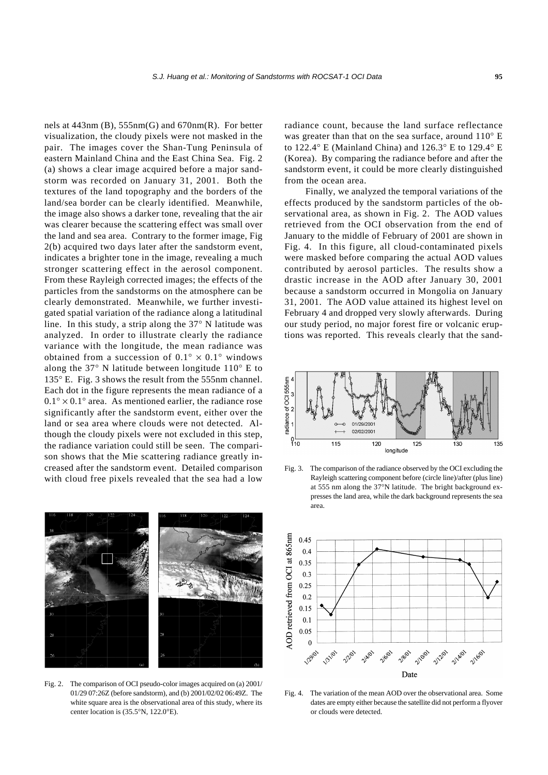nels at 443nm (B), 555nm(G) and 670nm(R). For better visualization, the cloudy pixels were not masked in the pair. The images cover the Shan-Tung Peninsula of eastern Mainland China and the East China Sea. Fig. 2 (a) shows a clear image acquired before a major sandstorm was recorded on January 31, 2001. Both the textures of the land topography and the borders of the land/sea border can be clearly identified. Meanwhile, the image also shows a darker tone, revealing that the air was clearer because the scattering effect was small over the land and sea area. Contrary to the former image, Fig 2(b) acquired two days later after the sandstorm event, indicates a brighter tone in the image, revealing a much stronger scattering effect in the aerosol component. From these Rayleigh corrected images; the effects of the particles from the sandstorms on the atmosphere can be clearly demonstrated. Meanwhile, we further investigated spatial variation of the radiance along a latitudinal line. In this study, a strip along the 37° N latitude was analyzed. In order to illustrate clearly the radiance variance with the longitude, the mean radiance was obtained from a succession of  $0.1^{\circ} \times 0.1^{\circ}$  windows along the 37° N latitude between longitude 110° E to 135° E. Fig. 3 shows the result from the 555nm channel. Each dot in the figure represents the mean radiance of a  $0.1^{\circ} \times 0.1^{\circ}$  area. As mentioned earlier, the radiance rose significantly after the sandstorm event, either over the land or sea area where clouds were not detected. Although the cloudy pixels were not excluded in this step, the radiance variation could still be seen. The comparison shows that the Mie scattering radiance greatly increased after the sandstorm event. Detailed comparison with cloud free pixels revealed that the sea had a low



Fig. 2. The comparison of OCI pseudo-color images acquired on (a) 2001/ 01/29 07:26Z (before sandstorm), and (b) 2001/02/02 06:49Z. The white square area is the observational area of this study, where its center location is (35.5°N, 122.0°E).

radiance count, because the land surface reflectance was greater than that on the sea surface, around 110° E to 122.4° E (Mainland China) and 126.3° E to 129.4° E (Korea). By comparing the radiance before and after the sandstorm event, it could be more clearly distinguished from the ocean area.

Finally, we analyzed the temporal variations of the effects produced by the sandstorm particles of the observational area, as shown in Fig. 2. The AOD values retrieved from the OCI observation from the end of January to the middle of February of 2001 are shown in Fig. 4. In this figure, all cloud-contaminated pixels were masked before comparing the actual AOD values contributed by aerosol particles. The results show a drastic increase in the AOD after January 30, 2001 because a sandstorm occurred in Mongolia on January 31, 2001. The AOD value attained its highest level on February 4 and dropped very slowly afterwards. During our study period, no major forest fire or volcanic eruptions was reported. This reveals clearly that the sand-



Fig. 3. The comparison of the radiance observed by the OCI excluding the Rayleigh scattering component before (circle line)/after (plus line) at 555 nm along the 37°N latitude. The bright background expresses the land area, while the dark background represents the sea area.



Fig. 4. The variation of the mean AOD over the observational area. Some dates are empty either because the satellite did not perform a flyover or clouds were detected.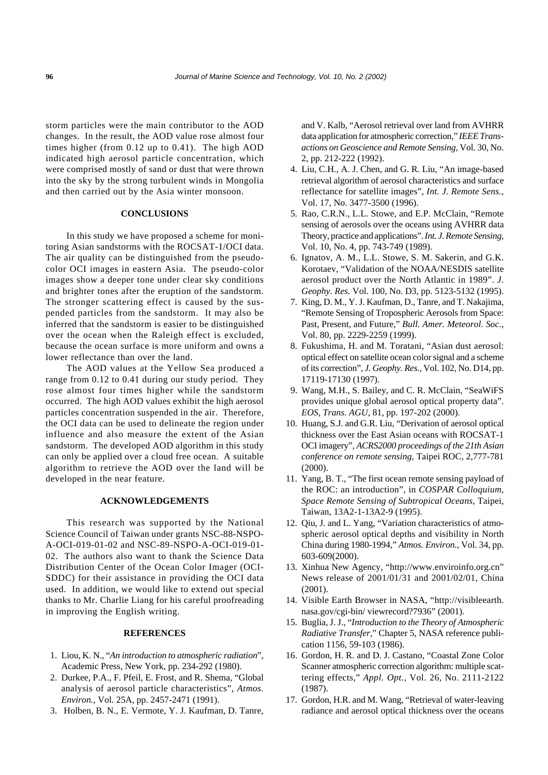storm particles were the main contributor to the AOD changes. In the result, the AOD value rose almost four times higher (from 0.12 up to 0.41). The high AOD indicated high aerosol particle concentration, which were comprised mostly of sand or dust that were thrown into the sky by the strong turbulent winds in Mongolia and then carried out by the Asia winter monsoon.

#### **CONCLUSIONS**

In this study we have proposed a scheme for monitoring Asian sandstorms with the ROCSAT-1/OCI data. The air quality can be distinguished from the pseudocolor OCI images in eastern Asia. The pseudo-color images show a deeper tone under clear sky conditions and brighter tones after the eruption of the sandstorm. The stronger scattering effect is caused by the suspended particles from the sandstorm. It may also be inferred that the sandstorm is easier to be distinguished over the ocean when the Raleigh effect is excluded, because the ocean surface is more uniform and owns a lower reflectance than over the land.

The AOD values at the Yellow Sea produced a range from 0.12 to 0.41 during our study period. They rose almost four times higher while the sandstorm occurred. The high AOD values exhibit the high aerosol particles concentration suspended in the air. Therefore, the OCI data can be used to delineate the region under influence and also measure the extent of the Asian sandstorm. The developed AOD algorithm in this study can only be applied over a cloud free ocean. A suitable algorithm to retrieve the AOD over the land will be developed in the near feature.

#### **ACKNOWLEDGEMENTS**

This research was supported by the National Science Council of Taiwan under grants NSC-88-NSPO-A-OCI-019-01-02 and NSC-89-NSPO-A-OCI-019-01- 02. The authors also want to thank the Science Data Distribution Center of the Ocean Color Imager (OCI-SDDC) for their assistance in providing the OCI data used. In addition, we would like to extend out special thanks to Mr. Charlie Liang for his careful proofreading in improving the English writing.

#### **REFERENCES**

- 1. Liou, K. N., "*An introduction to atmospheric radiation*", Academic Press, New York, pp. 234-292 (1980).
- 2. Durkee, P.A., F. Pfeil, E. Frost, and R. Shema, "Global analysis of aerosol particle characteristics", *Atmos. Environ.*, Vol. 25A, pp. 2457-2471 (1991).
- 3. Holben, B. N., E. Vermote, Y. J. Kaufman, D. Tanre,

and V. Kalb, "Aerosol retrieval over land from AVHRR data application for atmospheric correction," *IEEE Transactions on Geoscience and Remote Sensing*, Vol. 30, No. 2, pp. 212-222 (1992).

- 4. Liu, C.H., A. J. Chen, and G. R. Liu, "An image-based retrieval algorithm of aerosol characteristics and surface reflectance for satellite images", *Int. J. Remote Sens.*, Vol. 17, No. 3477-3500 (1996).
- 5. Rao, C.R.N., L.L. Stowe, and E.P. McClain, "Remote sensing of aerosols over the oceans using AVHRR data Theory, practice and applications". *Int. J. Remote Sensing*, Vol. 10, No. 4, pp. 743-749 (1989).
- 6. Ignatov, A. M., L.L. Stowe, S. M. Sakerin, and G.K. Korotaev, "Validation of the NOAA/NESDIS satellite aerosol product over the North Atlantic in 1989". *J. Geophy. Res.* Vol. 100, No. D3, pp. 5123-5132 (1995).
- 7. King, D. M., Y. J. Kaufman, D., Tanre, and T. Nakajima, "Remote Sensing of Tropospheric Aerosols from Space: Past, Present, and Future," *Bull. Amer. Meteorol. Soc.*, Vol. 80, pp. 2229-2259 (1999).
- 8. Fukushima, H. and M. Toratani, "Asian dust aerosol: optical effect on satellite ocean color signal and a scheme of its correction", *J. Geophy. Res.*, Vol. 102, No. D14, pp. 17119-17130 (1997).
- 9. Wang, M.H., S. Bailey, and C. R. McClain, "SeaWiFS provides unique global aerosol optical property data". *EOS, Trans. AGU*, 81, pp. 197-202 (2000).
- 10. Huang, S.J. and G.R. Liu, "Derivation of aerosol optical thickness over the East Asian oceans with ROCSAT-1 OCI imagery", *ACRS2000 proceedings of the 21th Asian conference on remote sensing*, Taipei ROC, 2,777-781 (2000).
- 11. Yang, B. T., "The first ocean remote sensing payload of the ROC: an introduction", in *COSPAR Colloquium, Space Remote Sensing of Subtropical Oceans*, Taipei, Taiwan, 13A2-1-13A2-9 (1995).
- 12. Qiu, J. and L. Yang, "Variation characteristics of atmospheric aerosol optical depths and visibility in North China during 1980-1994," *Atmos. Environ.*, Vol. 34, pp. 603-609(2000).
- 13. Xinhua New Agency, "http://www.enviroinfo.org.cn" News release of 2001/01/31 and 2001/02/01, China (2001).
- 14. Visible Earth Browser in NASA, "http://visibleearth. nasa.gov/cgi-bin/ viewrecord?7936" (2001).
- 15. Buglia, J. J., "*Introduction to the Theory of Atmospheric Radiative Transfer*," Chapter 5, NASA reference publication 1156, 59-103 (1986).
- 16. Gordon, H. R. and D. J. Castano, "Coastal Zone Color Scanner atmospheric correction algorithm: multiple scattering effects," *Appl. Opt.*, Vol. 26, No. 2111-2122 (1987).
- 17. Gordon, H.R. and M. Wang, "Retrieval of water-leaving radiance and aerosol optical thickness over the oceans